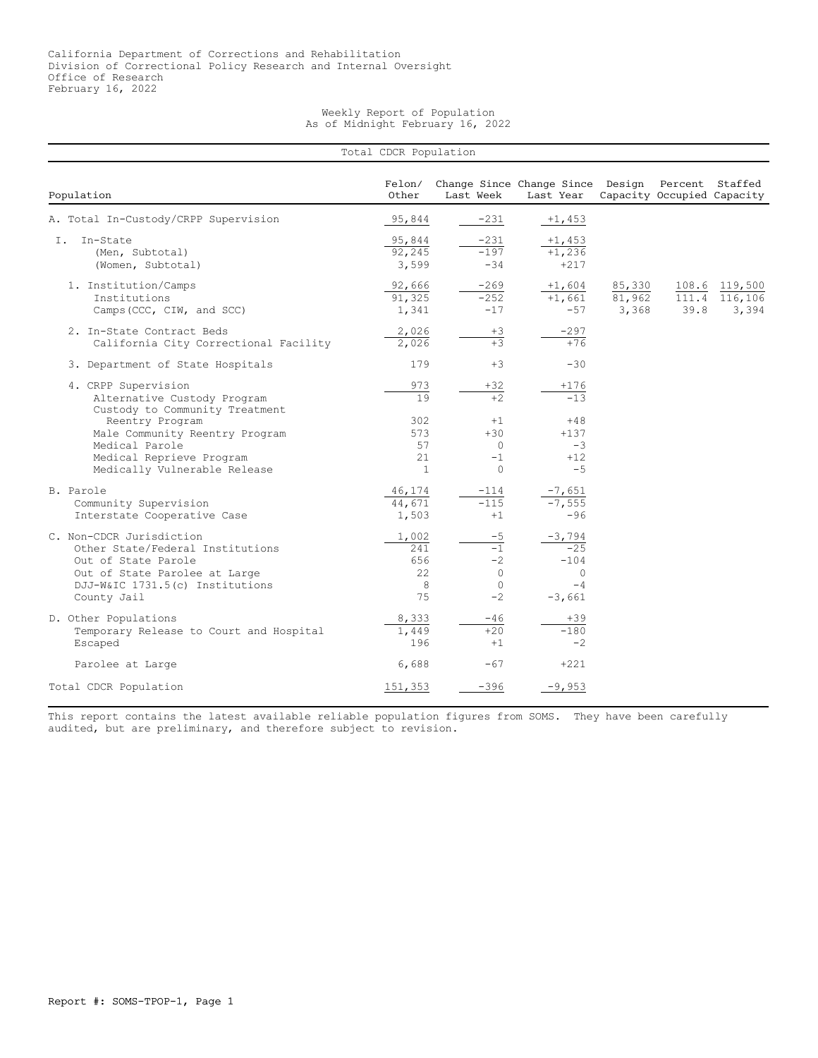## Weekly Report of Population As of Midnight February 16, 2022

| Total CDCR Population                                                                                                                                                  |                                          |                                                      |                                                               |                           |      |                                         |  |  |
|------------------------------------------------------------------------------------------------------------------------------------------------------------------------|------------------------------------------|------------------------------------------------------|---------------------------------------------------------------|---------------------------|------|-----------------------------------------|--|--|
| Population                                                                                                                                                             | Felon/<br>Other                          | Last Week                                            | Change Since Change Since Design Percent Staffed<br>Last Year |                           |      | Capacity Occupied Capacity              |  |  |
| A. Total In-Custody/CRPP Supervision                                                                                                                                   | 95,844                                   | $-231$                                               | $+1,453$                                                      |                           |      |                                         |  |  |
| In-State<br>Ι.<br>(Men, Subtotal)<br>(Women, Subtotal)                                                                                                                 | 95,844<br>92,245<br>3,599                | $-231$<br>$-197$<br>$-34$                            | $+1,453$<br>$+1,236$<br>$+217$                                |                           |      |                                         |  |  |
| 1. Institution/Camps<br>Institutions<br>Camps (CCC, CIW, and SCC)                                                                                                      | 92,666<br>91,325<br>1,341                | $-269$<br>$-252$<br>$-17$                            | $+1,604$<br>$+1,661$<br>$-57$                                 | 85,330<br>81,962<br>3,368 | 39.8 | 108.6 119,500<br>111.4 116,106<br>3,394 |  |  |
| 2. In-State Contract Beds<br>California City Correctional Facility                                                                                                     | 2,026<br>2,026                           | $+3$<br>$+3$                                         | $-297$<br>$+76$                                               |                           |      |                                         |  |  |
| 3. Department of State Hospitals                                                                                                                                       | 179                                      | $+3$                                                 | $-30$                                                         |                           |      |                                         |  |  |
| 4. CRPP Supervision<br>Alternative Custody Program<br>Custody to Community Treatment                                                                                   | 973<br>$\overline{19}$                   | $+32$<br>$\overline{+2}$                             | $+176$<br>$-13$                                               |                           |      |                                         |  |  |
| Reentry Program<br>Male Community Reentry Program<br>Medical Parole<br>Medical Reprieve Program<br>Medically Vulnerable Release                                        | 302<br>573<br>57<br>21<br>$\overline{1}$ | $+1$<br>$+30$<br>0<br>$-1$<br>$\bigcap$              | $+48$<br>$+137$<br>$-3$<br>$+12$<br>$-5$                      |                           |      |                                         |  |  |
| B. Parole<br>Community Supervision<br>Interstate Cooperative Case                                                                                                      | 46,174<br>44,671<br>1,503                | $-114$<br>$-115$<br>$+1$                             | $-7,651$<br>$-7,555$<br>$-96$                                 |                           |      |                                         |  |  |
| C. Non-CDCR Jurisdiction<br>Other State/Federal Institutions<br>Out of State Parole<br>Out of State Parolee at Large<br>DJJ-W&IC 1731.5(c) Institutions<br>County Jail | 1,002<br>241<br>656<br>22<br>8<br>75     | $-5$<br>$-1$<br>$-2$<br>$\Omega$<br>$\Omega$<br>$-2$ | $-3,794$<br>$-25$<br>$-104$<br>$\circ$<br>$-4$<br>$-3,661$    |                           |      |                                         |  |  |
| D. Other Populations<br>Temporary Release to Court and Hospital<br>Escaped                                                                                             | 8,333<br>1,449<br>196                    | -46<br>$+20$<br>$+1$                                 | $+39$<br>$-180$<br>$-2$                                       |                           |      |                                         |  |  |
| Parolee at Large                                                                                                                                                       | 6,688                                    | $-67$                                                | $+221$                                                        |                           |      |                                         |  |  |
| Total CDCR Population                                                                                                                                                  | 151,353                                  | $-396$                                               | $-9,953$                                                      |                           |      |                                         |  |  |

This report contains the latest available reliable population figures from SOMS. They have been carefully audited, but are preliminary, and therefore subject to revision.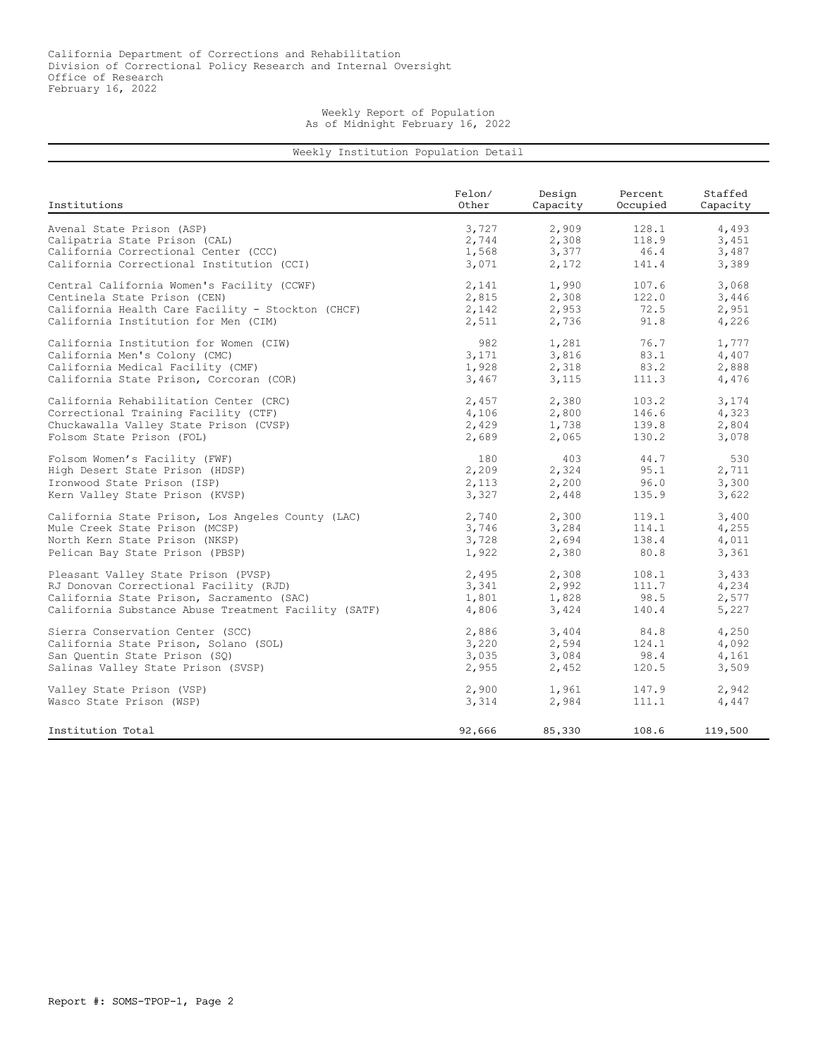## Weekly Report of Population As of Midnight February 16, 2022

## Weekly Institution Population Detail

| Institutions                                         | Felon/ | Design   | Percent  | Staffed  |
|------------------------------------------------------|--------|----------|----------|----------|
|                                                      | Other  | Capacity | Occupied | Capacity |
| Avenal State Prison (ASP)                            | 3,727  | 2,909    | 128.1    | 4,493    |
| Calipatria State Prison (CAL)                        | 2,744  | 2,308    | 118.9    | 3,451    |
| California Correctional Center (CCC)                 | 1,568  | 3,377    | 46.4     | 3,487    |
| California Correctional Institution (CCI)            | 3,071  | 2,172    | 141.4    | 3,389    |
| Central California Women's Facility (CCWF)           | 2,141  | 1,990    | 107.6    | 3,068    |
| Centinela State Prison (CEN)                         | 2,815  | 2,308    | 122.0    | 3,446    |
| California Health Care Facility - Stockton (CHCF)    | 2,142  | 2,953    | 72.5     | 2,951    |
| California Institution for Men (CIM)                 | 2,511  | 2,736    | 91.8     | 4,226    |
| California Institution for Women (CIW)               | 982    | 1,281    | 76.7     | 1,777    |
| California Men's Colony (CMC)                        | 3,171  | 3,816    | 83.1     | 4,407    |
| California Medical Facility (CMF)                    | 1,928  | 2,318    | 83.2     | 2,888    |
| California State Prison, Corcoran (COR)              | 3,467  | 3,115    | 111.3    | 4,476    |
| California Rehabilitation Center (CRC)               | 2,457  | 2,380    | 103.2    | 3,174    |
| Correctional Training Facility (CTF)                 | 4,106  | 2,800    | 146.6    | 4,323    |
| Chuckawalla Valley State Prison (CVSP)               | 2,429  | 1,738    | 139.8    | 2,804    |
| Folsom State Prison (FOL)                            | 2,689  | 2,065    | 130.2    | 3,078    |
| Folsom Women's Facility (FWF)                        | 180    | 403      | 44.7     | 530      |
| High Desert State Prison (HDSP)                      | 2,209  | 2,324    | 95.1     | 2,711    |
| Ironwood State Prison (ISP)                          | 2,113  | 2,200    | 96.0     | 3,300    |
| Kern Valley State Prison (KVSP)                      | 3,327  | 2,448    | 135.9    | 3,622    |
| California State Prison, Los Angeles County (LAC)    | 2,740  | 2,300    | 119.1    | 3,400    |
| Mule Creek State Prison (MCSP)                       | 3,746  | 3,284    | 114.1    | 4,255    |
| North Kern State Prison (NKSP)                       | 3,728  | 2,694    | 138.4    | 4,011    |
| Pelican Bay State Prison (PBSP)                      | 1,922  | 2,380    | 80.8     | 3,361    |
| Pleasant Valley State Prison (PVSP)                  | 2,495  | 2,308    | 108.1    | 3,433    |
| RJ Donovan Correctional Facility (RJD)               | 3,341  | 2,992    | 111.7    | 4,234    |
| California State Prison, Sacramento (SAC)            | 1,801  | 1,828    | 98.5     | 2,577    |
| California Substance Abuse Treatment Facility (SATF) | 4,806  | 3,424    | 140.4    | 5,227    |
| Sierra Conservation Center (SCC)                     | 2,886  | 3,404    | 84.8     | 4,250    |
| California State Prison, Solano (SOL)                | 3,220  | 2,594    | 124.1    | 4,092    |
| San Ouentin State Prison (SO)                        | 3,035  | 3,084    | 98.4     | 4,161    |
| Salinas Valley State Prison (SVSP)                   | 2,955  | 2,452    | 120.5    | 3,509    |
| Valley State Prison (VSP)                            | 2,900  | 1,961    | 147.9    | 2,942    |
| Wasco State Prison (WSP)                             | 3,314  | 2,984    | 111.1    | 4,447    |
| Institution Total                                    | 92,666 | 85,330   | 108.6    | 119,500  |